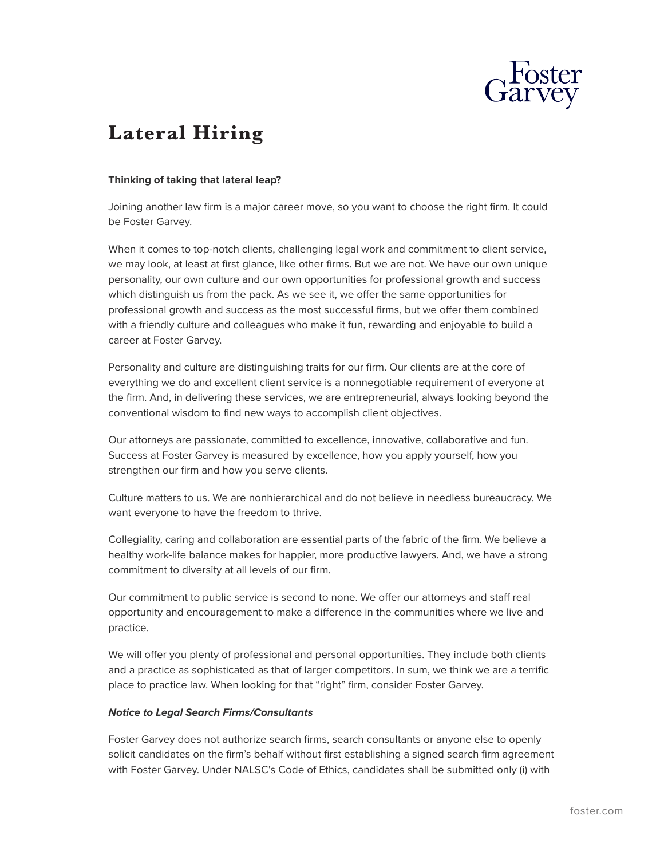

## **Lateral Hiring**

## **Thinking of taking that lateral leap?**

Joining another law firm is a major career move, so you want to choose the right firm. It could be Foster Garvey.

When it comes to top-notch clients, challenging legal work and commitment to client service, we may look, at least at first glance, like other firms. But we are not. We have our own unique personality, our own culture and our own opportunities for professional growth and success which distinguish us from the pack. As we see it, we offer the same opportunities for professional growth and success as the most successful firms, but we offer them combined with a friendly culture and colleagues who make it fun, rewarding and enjoyable to build a career at Foster Garvey.

Personality and culture are distinguishing traits for our firm. Our clients are at the core of everything we do and excellent client service is a nonnegotiable requirement of everyone at the firm. And, in delivering these services, we are entrepreneurial, always looking beyond the conventional wisdom to find new ways to accomplish client objectives.

Our attorneys are passionate, committed to excellence, innovative, collaborative and fun. Success at Foster Garvey is measured by excellence, how you apply yourself, how you strengthen our firm and how you serve clients.

Culture matters to us. We are nonhierarchical and do not believe in needless bureaucracy. We want everyone to have the freedom to thrive.

Collegiality, caring and collaboration are essential parts of the fabric of the firm. We believe a healthy work-life balance makes for happier, more productive lawyers. And, we have a strong commitment to diversity at all levels of our firm.

Our commitment to public service is second to none. We offer our attorneys and staff real opportunity and encouragement to make a difference in the communities where we live and practice.

We will offer you plenty of professional and personal opportunities. They include both clients and a practice as sophisticated as that of larger competitors. In sum, we think we are a terrific place to practice law. When looking for that "right" firm, consider Foster Garvey.

## *Notice to Legal Search Firms/Consultants*

Foster Garvey does not authorize search firms, search consultants or anyone else to openly solicit candidates on the firm's behalf without first establishing a signed search firm agreement with Foster Garvey. Under NALSC's Code of Ethics, candidates shall be submitted only (i) with